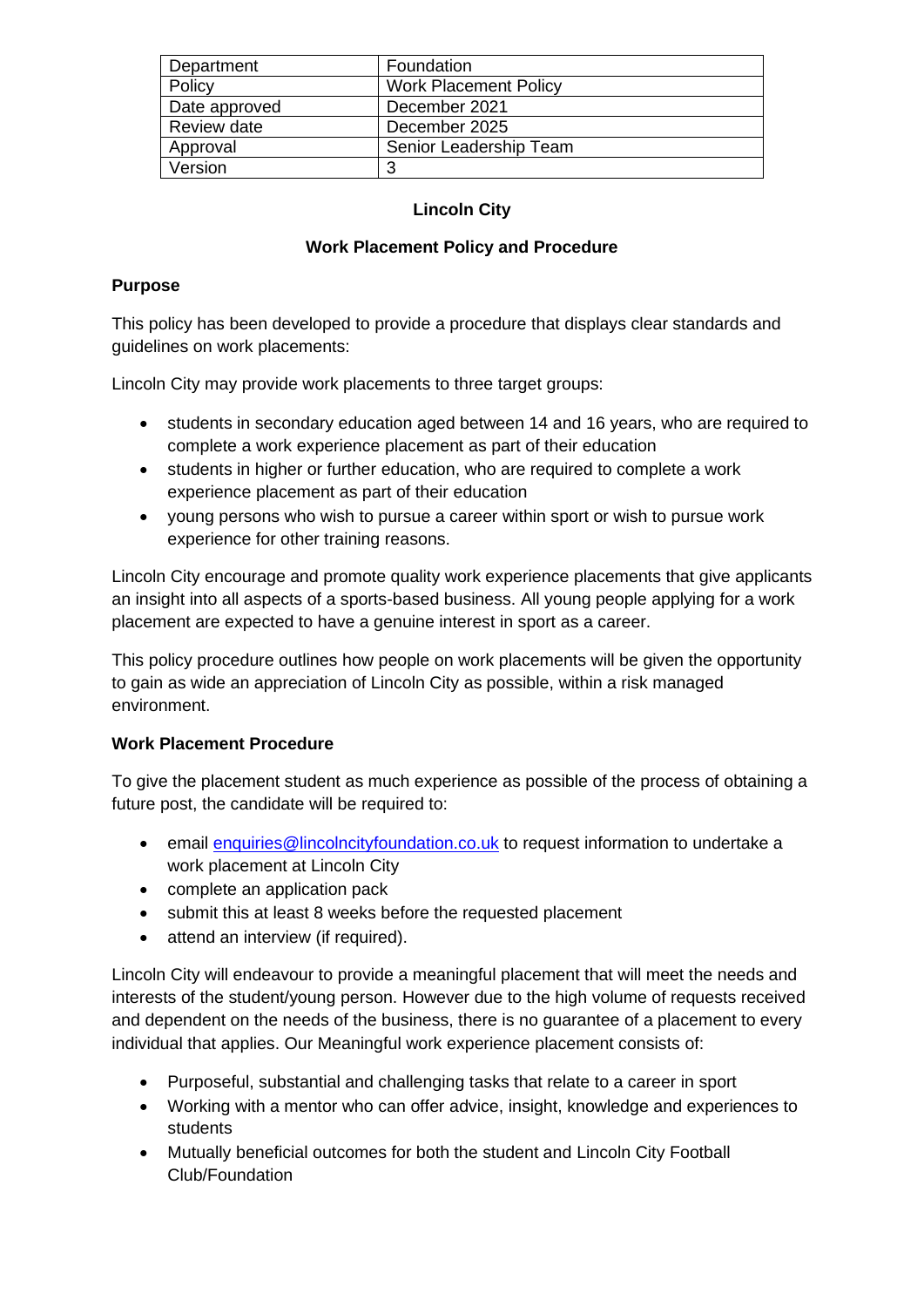| Department    | Foundation                   |
|---------------|------------------------------|
| Policy        | <b>Work Placement Policy</b> |
| Date approved | December 2021                |
| Review date   | December 2025                |
| Approval      | Senior Leadership Team       |
| Version       | -2                           |

# **Lincoln City**

## **Work Placement Policy and Procedure**

## **Purpose**

This policy has been developed to provide a procedure that displays clear standards and guidelines on work placements:

Lincoln City may provide work placements to three target groups:

- students in secondary education aged between 14 and 16 years, who are required to complete a work experience placement as part of their education
- students in higher or further education, who are required to complete a work experience placement as part of their education
- young persons who wish to pursue a career within sport or wish to pursue work experience for other training reasons.

Lincoln City encourage and promote quality work experience placements that give applicants an insight into all aspects of a sports-based business. All young people applying for a work placement are expected to have a genuine interest in sport as a career.

This policy procedure outlines how people on work placements will be given the opportunity to gain as wide an appreciation of Lincoln City as possible, within a risk managed environment.

## **Work Placement Procedure**

To give the placement student as much experience as possible of the process of obtaining a future post, the candidate will be required to:

- email [enquiries@lincolncityfoundation.co.uk](mailto:enquiries@lincolncityfoundation.co.uk) to request information to undertake a work placement at Lincoln City
- complete an application pack
- submit this at least 8 weeks before the requested placement
- attend an interview (if required).

Lincoln City will endeavour to provide a meaningful placement that will meet the needs and interests of the student/young person. However due to the high volume of requests received and dependent on the needs of the business, there is no guarantee of a placement to every individual that applies. Our Meaningful work experience placement consists of:

- Purposeful, substantial and challenging tasks that relate to a career in sport
- Working with a mentor who can offer advice, insight, knowledge and experiences to students
- Mutually beneficial outcomes for both the student and Lincoln City Football Club/Foundation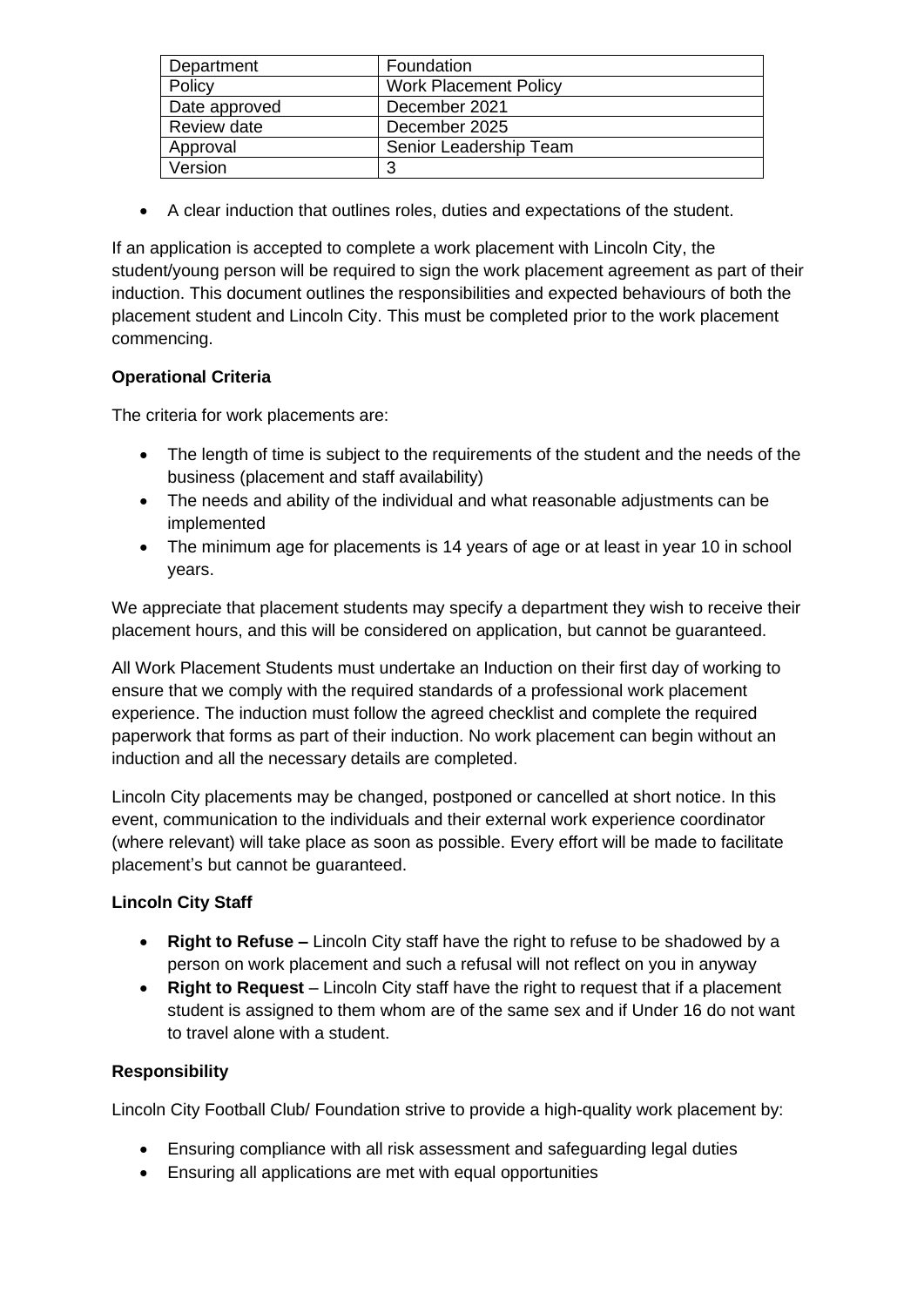| Department    | Foundation                   |
|---------------|------------------------------|
| Policy        | <b>Work Placement Policy</b> |
| Date approved | December 2021                |
| Review date   | December 2025                |
| Approval      | Senior Leadership Team       |
| Version       | 3                            |

• A clear induction that outlines roles, duties and expectations of the student.

If an application is accepted to complete a work placement with Lincoln City, the student/young person will be required to sign the work placement agreement as part of their induction. This document outlines the responsibilities and expected behaviours of both the placement student and Lincoln City. This must be completed prior to the work placement commencing.

# **Operational Criteria**

The criteria for work placements are:

- The length of time is subject to the requirements of the student and the needs of the business (placement and staff availability)
- The needs and ability of the individual and what reasonable adjustments can be implemented
- The minimum age for placements is 14 years of age or at least in year 10 in school years.

We appreciate that placement students may specify a department they wish to receive their placement hours, and this will be considered on application, but cannot be guaranteed.

All Work Placement Students must undertake an Induction on their first day of working to ensure that we comply with the required standards of a professional work placement experience. The induction must follow the agreed checklist and complete the required paperwork that forms as part of their induction. No work placement can begin without an induction and all the necessary details are completed.

Lincoln City placements may be changed, postponed or cancelled at short notice. In this event, communication to the individuals and their external work experience coordinator (where relevant) will take place as soon as possible. Every effort will be made to facilitate placement's but cannot be guaranteed.

## **Lincoln City Staff**

- **Right to Refuse –** Lincoln City staff have the right to refuse to be shadowed by a person on work placement and such a refusal will not reflect on you in anyway
- **Right to Request** Lincoln City staff have the right to request that if a placement student is assigned to them whom are of the same sex and if Under 16 do not want to travel alone with a student.

## **Responsibility**

Lincoln City Football Club/ Foundation strive to provide a high-quality work placement by:

- Ensuring compliance with all risk assessment and safeguarding legal duties
- Ensuring all applications are met with equal opportunities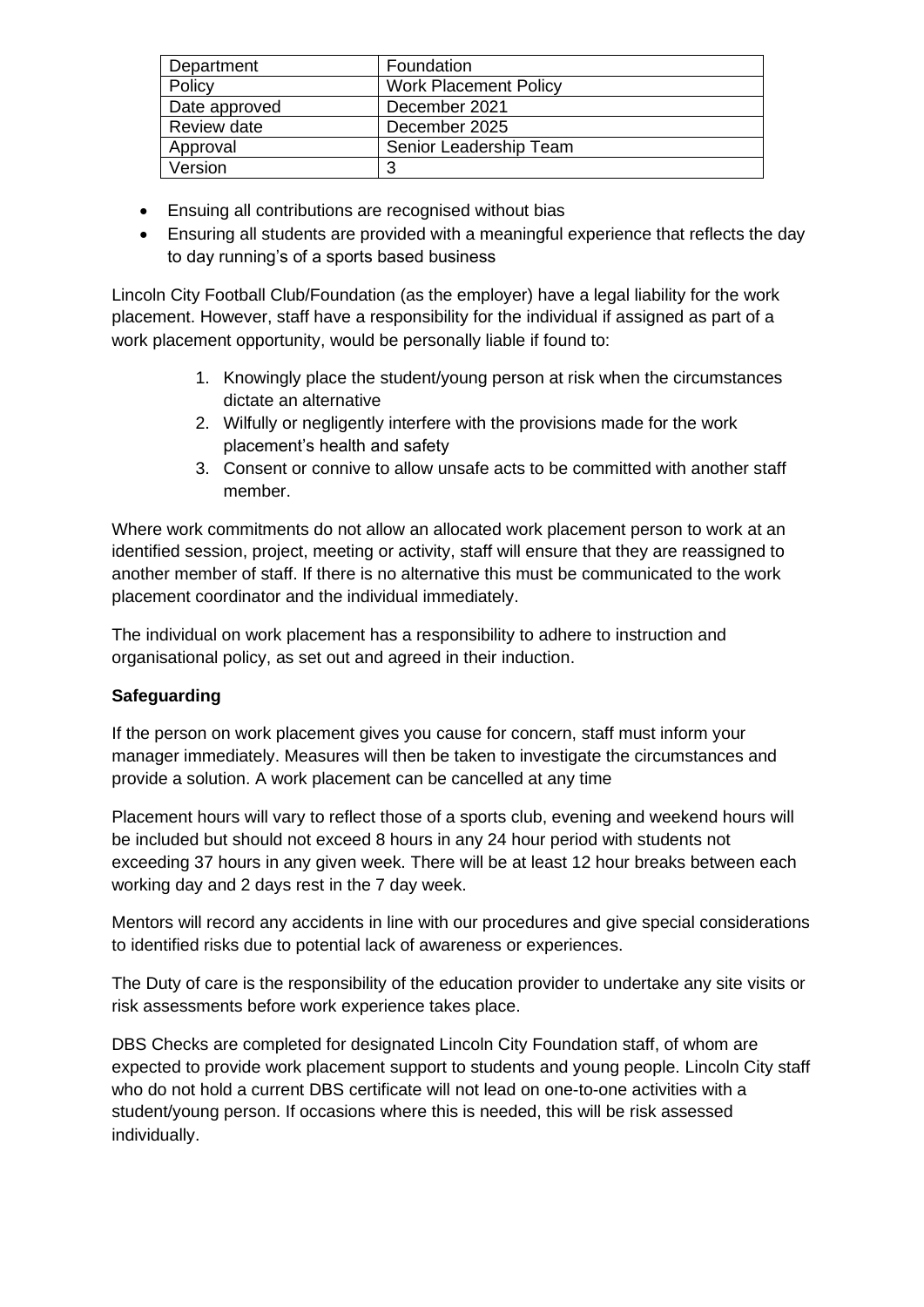| Department    | Foundation                   |
|---------------|------------------------------|
| Policy        | <b>Work Placement Policy</b> |
| Date approved | December 2021                |
| Review date   | December 2025                |
| Approval      | Senior Leadership Team       |
| Version       | 3                            |

- Ensuing all contributions are recognised without bias
- Ensuring all students are provided with a meaningful experience that reflects the day to day running's of a sports based business

Lincoln City Football Club/Foundation (as the employer) have a legal liability for the work placement. However, staff have a responsibility for the individual if assigned as part of a work placement opportunity, would be personally liable if found to:

- 1. Knowingly place the student/young person at risk when the circumstances dictate an alternative
- 2. Wilfully or negligently interfere with the provisions made for the work placement's health and safety
- 3. Consent or connive to allow unsafe acts to be committed with another staff member.

Where work commitments do not allow an allocated work placement person to work at an identified session, project, meeting or activity, staff will ensure that they are reassigned to another member of staff. If there is no alternative this must be communicated to the work placement coordinator and the individual immediately.

The individual on work placement has a responsibility to adhere to instruction and organisational policy, as set out and agreed in their induction.

## **Safeguarding**

If the person on work placement gives you cause for concern, staff must inform your manager immediately. Measures will then be taken to investigate the circumstances and provide a solution. A work placement can be cancelled at any time

Placement hours will vary to reflect those of a sports club, evening and weekend hours will be included but should not exceed 8 hours in any 24 hour period with students not exceeding 37 hours in any given week. There will be at least 12 hour breaks between each working day and 2 days rest in the 7 day week.

Mentors will record any accidents in line with our procedures and give special considerations to identified risks due to potential lack of awareness or experiences.

The Duty of care is the responsibility of the education provider to undertake any site visits or risk assessments before work experience takes place.

DBS Checks are completed for designated Lincoln City Foundation staff, of whom are expected to provide work placement support to students and young people. Lincoln City staff who do not hold a current DBS certificate will not lead on one-to-one activities with a student/young person. If occasions where this is needed, this will be risk assessed individually.